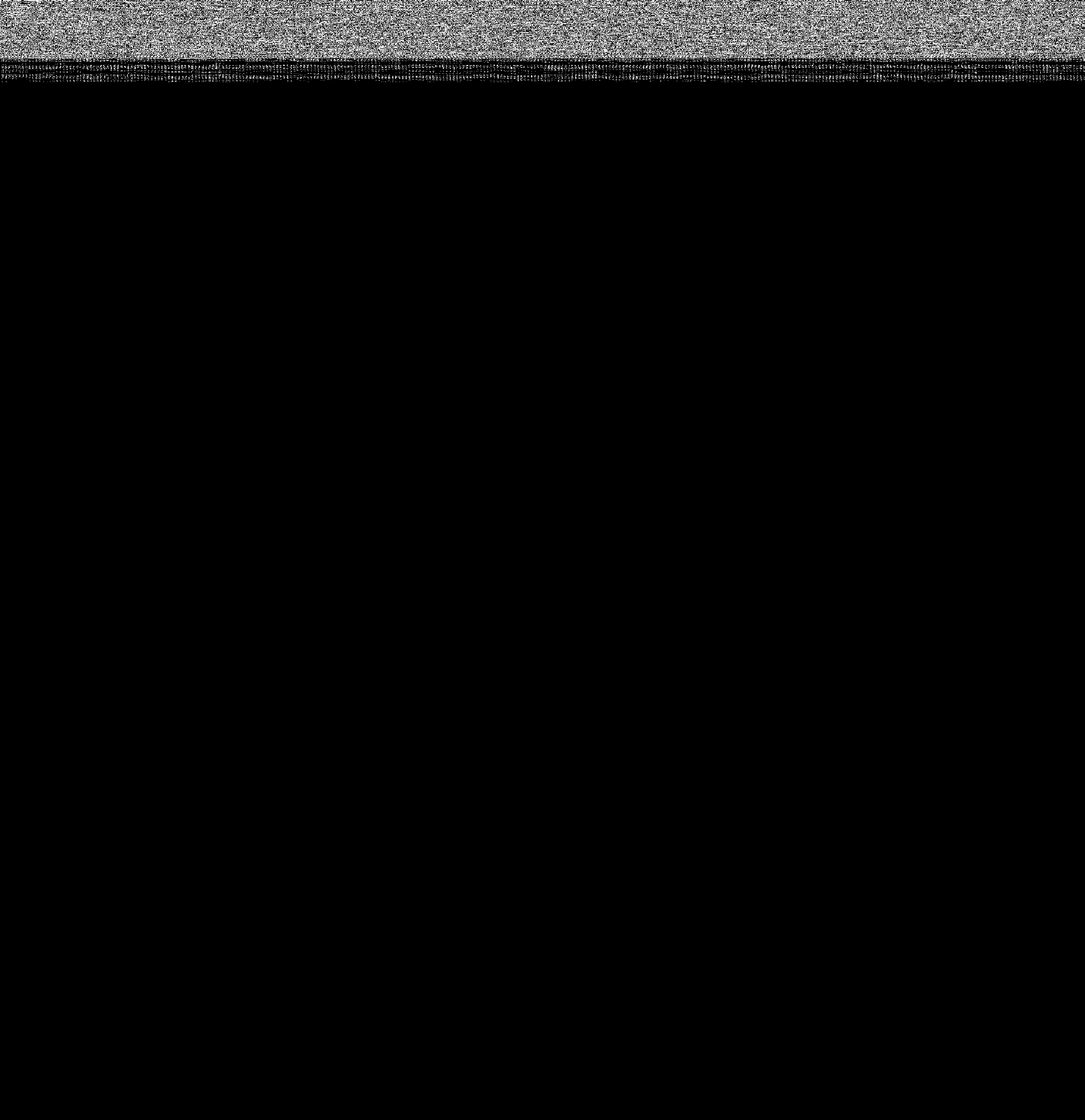**COURSE AND ASSESSED FOR** 

**Company of Contract**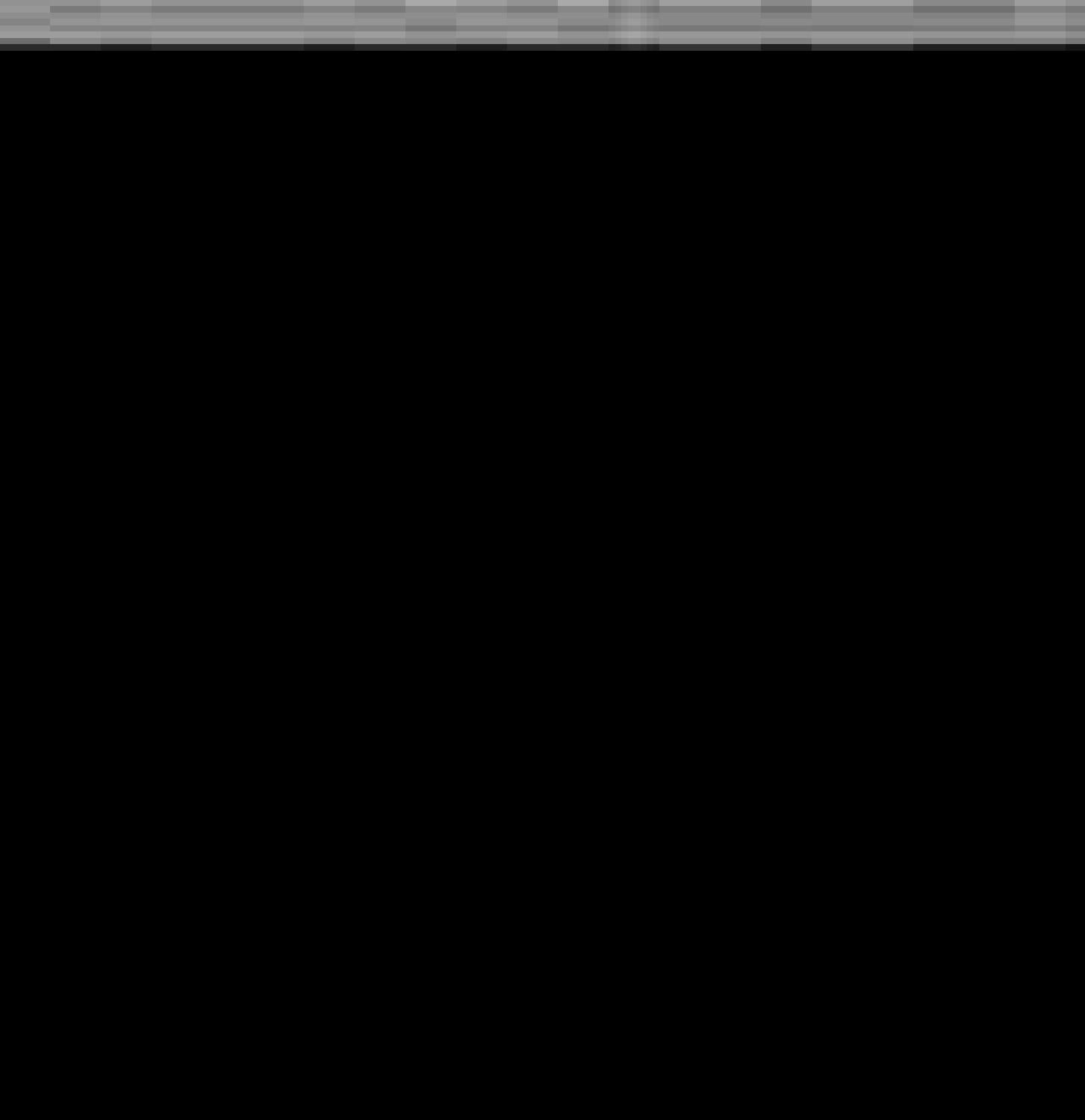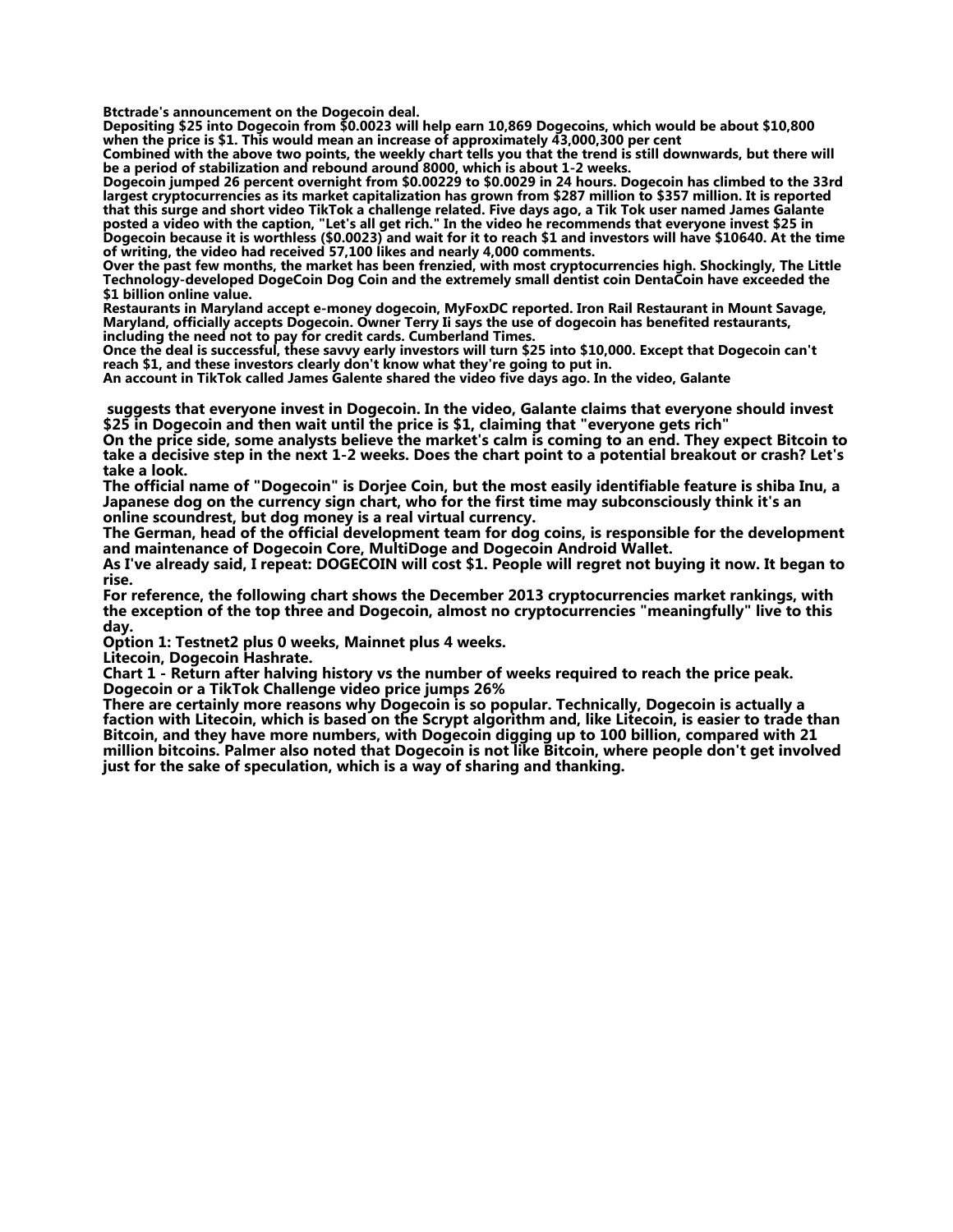**Btctrade's announcement on the Dogecoin deal.**

**Depositing \$25 into Dogecoin from \$0.0023 will help earn 10,869 Dogecoins, which would be about \$10,800 when the price is \$1. This would mean an increase of approximately 43,000,300 per cent**

**Combined with the above two points, the weekly chart tells you that the trend is still downwards, but there will be a period of stabilization and rebound around 8000, which is about 1-2 weeks.**

**Dogecoin jumped 26 percent overnight from \$0.00229 to \$0.0029 in 24 hours. Dogecoin has climbed to the 33rd largest cryptocurrencies as its market capitalization has grown from \$287 million to \$357 million. It is reported that this surge and short video TikTok a challenge related. Five days ago, a Tik Tok user named James Galante posted a video with the caption, "Let's all get rich." In the video he recommends that everyone invest \$25 in Dogecoin because it is worthless (\$0.0023) and wait for it to reach \$1 and investors will have \$10640. At the time of writing, the video had received 57,100 likes and nearly 4,000 comments.**

**Over the past few months, the market has been frenzied, with most cryptocurrencies high. Shockingly, The Little Technology-developed DogeCoin Dog Coin and the extremely small dentist coin DentaCoin have exceeded the \$1 billion online value.**

**Restaurants in Maryland accept e-money dogecoin, MyFoxDC reported. Iron Rail Restaurant in Mount Savage, Maryland, officially accepts Dogecoin. Owner Terry Ii says the use of dogecoin has benefited restaurants, including the need not to pay for credit cards. Cumberland Times.**

**Once the deal is successful, these savvy early investors will turn \$25 into \$10,000. Except that Dogecoin can't reach \$1, and these investors clearly don't know what they're going to put in.**

**An account in TikTok called James Galente shared the video five days ago. In the video, Galante**

**suggests that everyone invest in Dogecoin. In the video, Galante claims that everyone should invest \$25 in Dogecoin and then wait until the price is \$1, claiming that "everyone gets rich"**

**On the price side, some analysts believe the market's calm is coming to an end. They expect Bitcoin to take a decisive step in the next 1-2 weeks. Does the chart point to a potential breakout or crash? Let's take a look.**

**The official name of "Dogecoin" is Dorjee Coin, but the most easily identifiable feature is shiba Inu, a Japanese dog on the currency sign chart, who for the first time may subconsciously think it's an online scoundrest, but dog money is a real virtual currency.**

**The German, head of the official development team for dog coins, is responsible for the development and maintenance of Dogecoin Core, MultiDoge and Dogecoin Android Wallet.**

**As I've already said, I repeat: DOGECOIN will cost \$1. People will regret not buying it now. It began to rise.**

**For reference, the following chart shows the December 2013 cryptocurrencies market rankings, with the exception of the top three and Dogecoin, almost no cryptocurrencies "meaningfully" live to this day.**

**Option 1: Testnet2 plus 0 weeks, Mainnet plus 4 weeks.**

**Litecoin, Dogecoin Hashrate.**

**Chart 1 - Return after halving history vs the number of weeks required to reach the price peak. Dogecoin or a TikTok Challenge video price jumps 26%**

**There are certainly more reasons why Dogecoin is so popular. Technically, Dogecoin is actually a faction with Litecoin, which is based on the Scrypt algorithm and, like Litecoin, is easier to trade than Bitcoin, and they have more numbers, with Dogecoin digging up to 100 billion, compared with 21 million bitcoins. Palmer also noted that Dogecoin is not like Bitcoin, where people don't get involved just for the sake of speculation, which is a way of sharing and thanking.**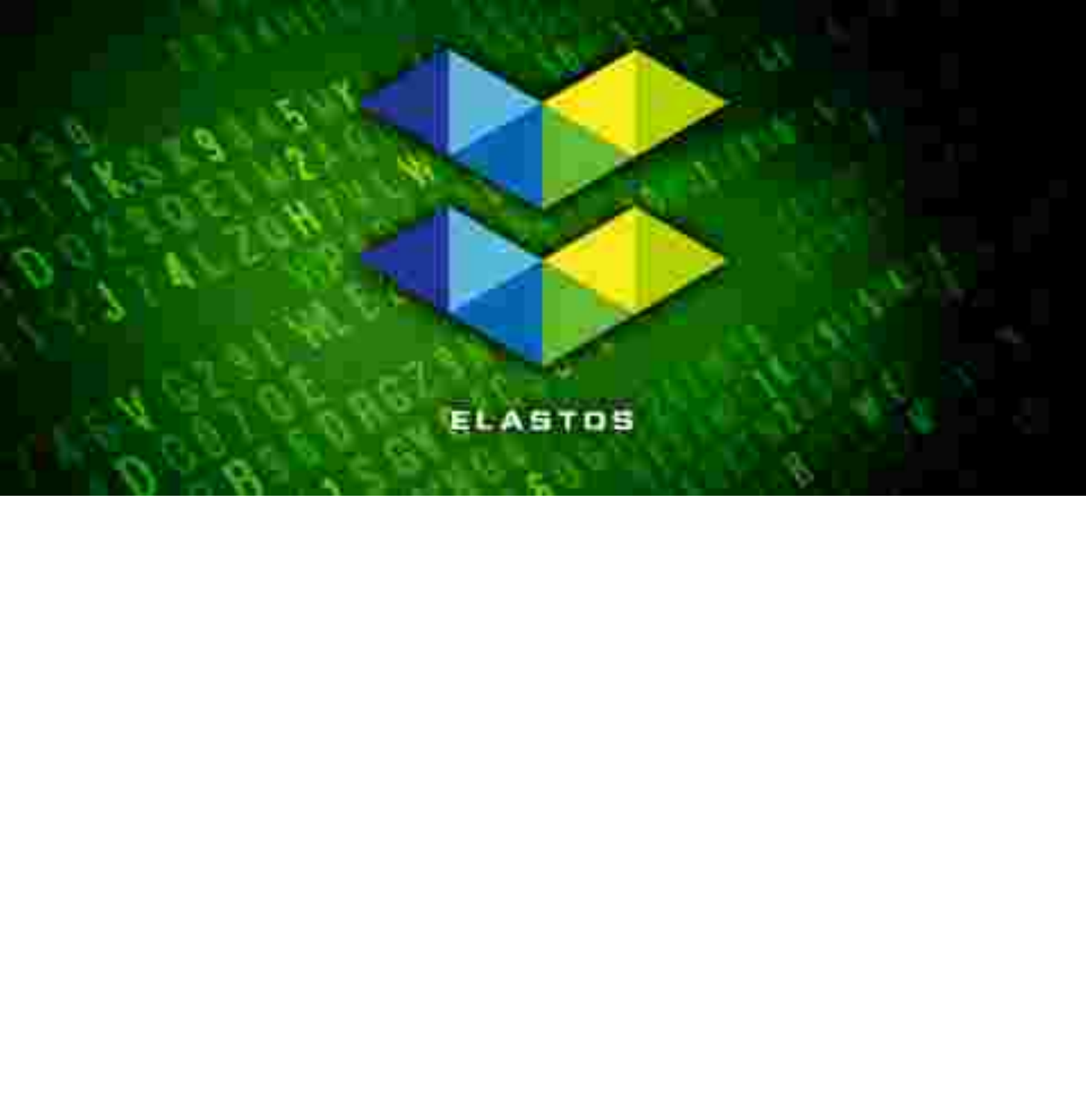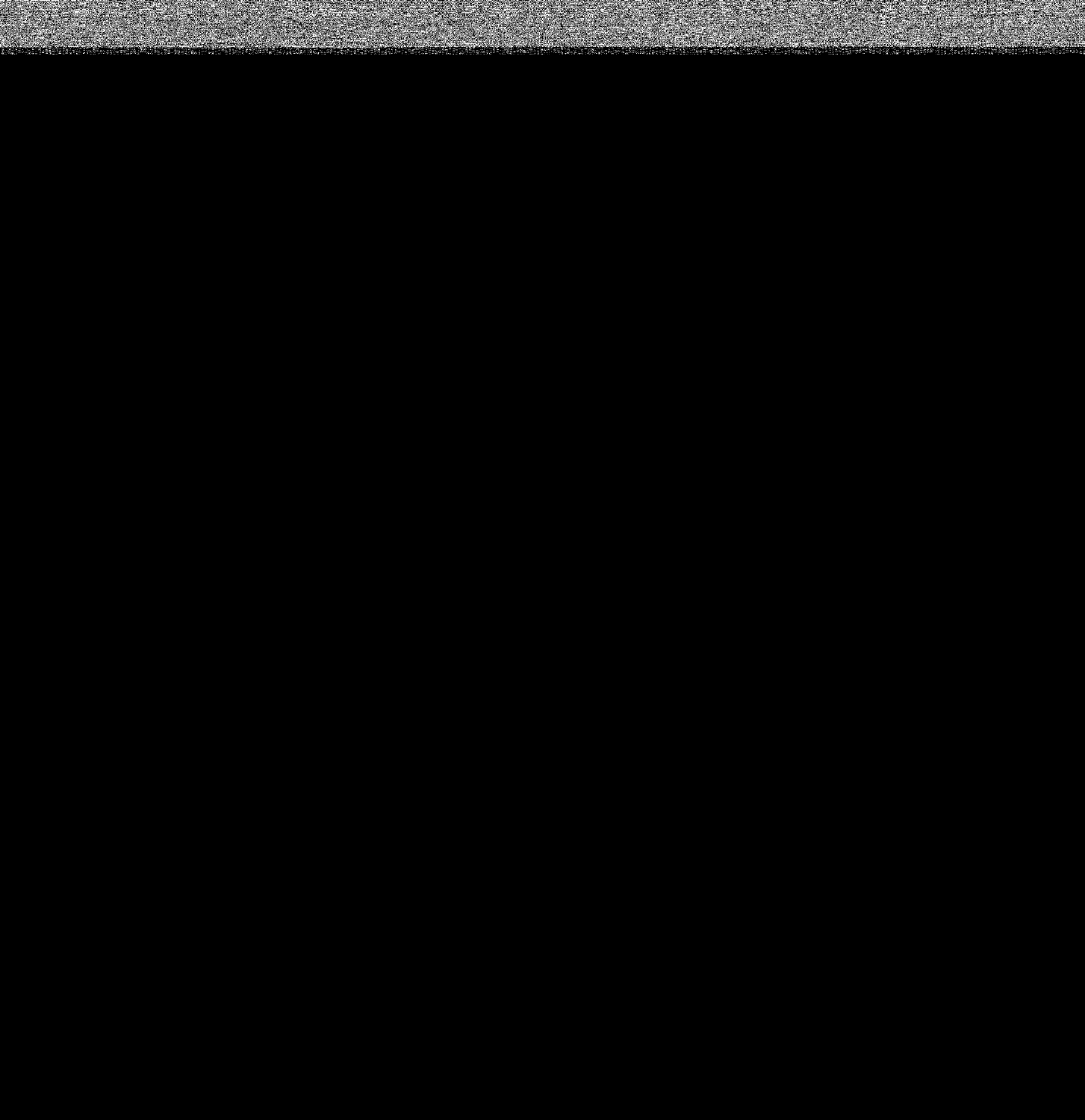**CLEAR COMMERCIAL CO.**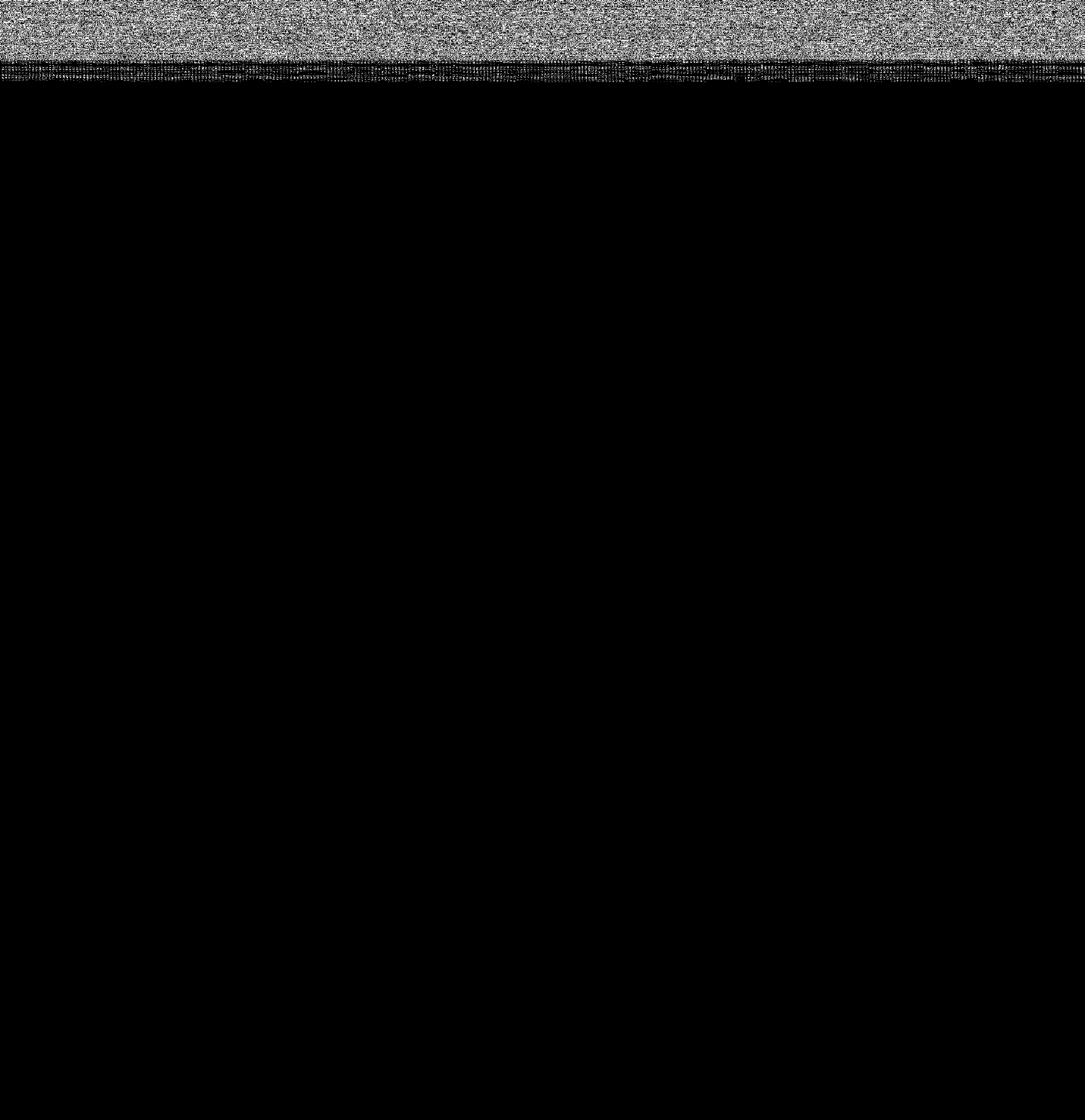**College Avenue Report AND CREWS** the contract of the contract of the contract of the contract of the contract of the contract of the contract of <u> 1999 - Jacques Andrews, amerikansk politiker (d. 1989)</u>